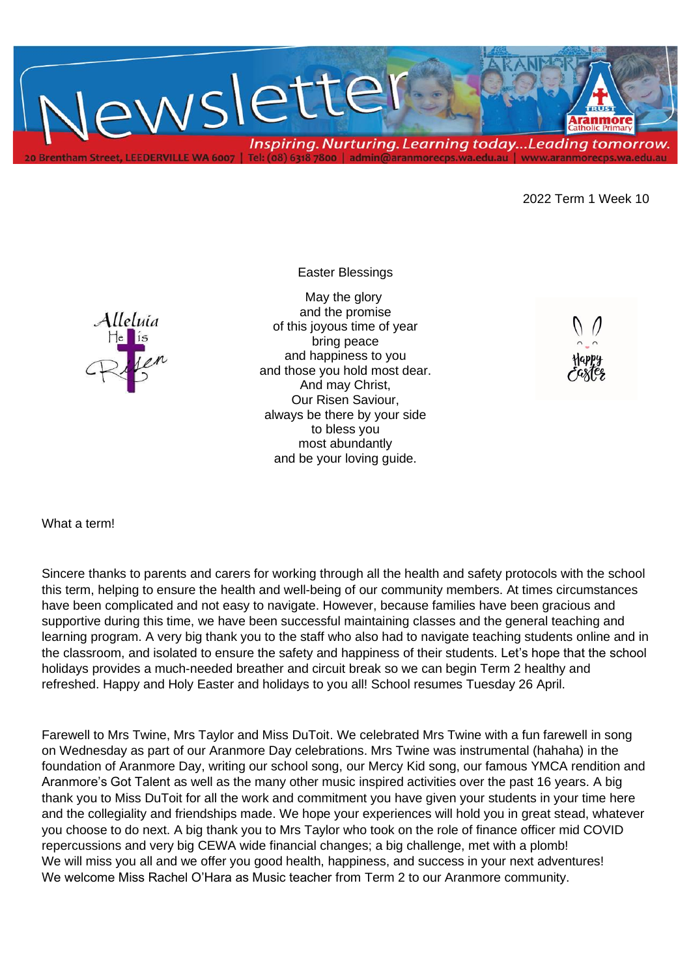

2022 Term 1 Week 10

## Easter Blessings



May the glory and the promise of this joyous time of year bring peace and happiness to you and those you hold most dear. And may Christ, Our Risen Saviour, always be there by your side to bless you most abundantly and be your loving guide.

What a term!

Sincere thanks to parents and carers for working through all the health and safety protocols with the school this term, helping to ensure the health and well-being of our community members. At times circumstances have been complicated and not easy to navigate. However, because families have been gracious and supportive during this time, we have been successful maintaining classes and the general teaching and learning program. A very big thank you to the staff who also had to navigate teaching students online and in the classroom, and isolated to ensure the safety and happiness of their students. Let's hope that the school holidays provides a much-needed breather and circuit break so we can begin Term 2 healthy and refreshed. Happy and Holy Easter and holidays to you all! School resumes Tuesday 26 April.

Farewell to Mrs Twine, Mrs Taylor and Miss DuToit. We celebrated Mrs Twine with a fun farewell in song on Wednesday as part of our Aranmore Day celebrations. Mrs Twine was instrumental (hahaha) in the foundation of Aranmore Day, writing our school song, our Mercy Kid song, our famous YMCA rendition and Aranmore's Got Talent as well as the many other music inspired activities over the past 16 years. A big thank you to Miss DuToit for all the work and commitment you have given your students in your time here and the collegiality and friendships made. We hope your experiences will hold you in great stead, whatever you choose to do next. A big thank you to Mrs Taylor who took on the role of finance officer mid COVID repercussions and very big CEWA wide financial changes; a big challenge, met with a plomb! We will miss you all and we offer you good health, happiness, and success in your next adventures! We welcome Miss Rachel O'Hara as Music teacher from Term 2 to our Aranmore community.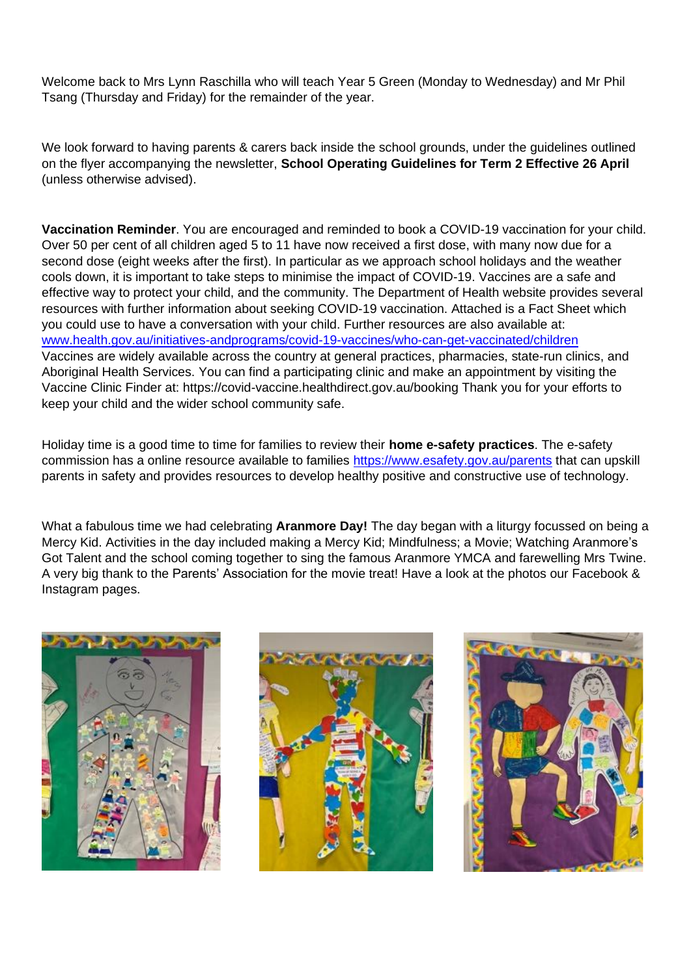Welcome back to Mrs Lynn Raschilla who will teach Year 5 Green (Monday to Wednesday) and Mr Phil Tsang (Thursday and Friday) for the remainder of the year.

We look forward to having parents & carers back inside the school grounds, under the guidelines outlined on the flyer accompanying the newsletter, **School Operating Guidelines for Term 2 Effective 26 April** (unless otherwise advised).

**Vaccination Reminder**. You are encouraged and reminded to book a COVID-19 vaccination for your child. Over 50 per cent of all children aged 5 to 11 have now received a first dose, with many now due for a second dose (eight weeks after the first). In particular as we approach school holidays and the weather cools down, it is important to take steps to minimise the impact of COVID-19. Vaccines are a safe and effective way to protect your child, and the community. The Department of Health website provides several resources with further information about seeking COVID-19 vaccination. Attached is a Fact Sheet which you could use to have a conversation with your child. Further resources are also available at: [www.health.gov.au/initiatives-andprograms/covid-19-vaccines/who-can-get-vaccinated/children](http://www.health.gov.au/initiatives-andprograms/covid-19-vaccines/who-can-get-vaccinated/children) Vaccines are widely available across the country at general practices, pharmacies, state-run clinics, and Aboriginal Health Services. You can find a participating clinic and make an appointment by visiting the Vaccine Clinic Finder at: https://covid-vaccine.healthdirect.gov.au/booking Thank you for your efforts to keep your child and the wider school community safe.

Holiday time is a good time to time for families to review their **home e-safety practices**. The e-safety commission has a online resource available to families<https://www.esafety.gov.au/parents> that can upskill parents in safety and provides resources to develop healthy positive and constructive use of technology.

What a fabulous time we had celebrating **Aranmore Day!** The day began with a liturgy focussed on being a Mercy Kid. Activities in the day included making a Mercy Kid; Mindfulness; a Movie; Watching Aranmore's Got Talent and the school coming together to sing the famous Aranmore YMCA and farewelling Mrs Twine. A very big thank to the Parents' Association for the movie treat! Have a look at the photos our Facebook & Instagram pages.





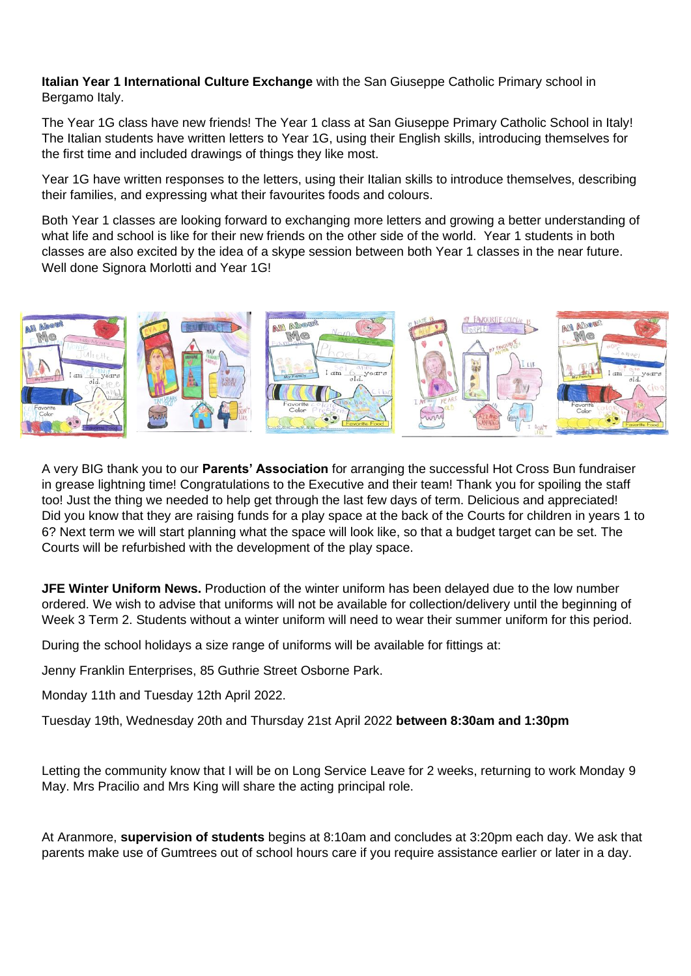**Italian Year 1 International Culture Exchange** with the San Giuseppe Catholic Primary school in Bergamo Italy.

The Year 1G class have new friends! The Year 1 class at San Giuseppe Primary Catholic School in Italy! The Italian students have written letters to Year 1G, using their English skills, introducing themselves for the first time and included drawings of things they like most.

Year 1G have written responses to the letters, using their Italian skills to introduce themselves, describing their families, and expressing what their favourites foods and colours.

Both Year 1 classes are looking forward to exchanging more letters and growing a better understanding of what life and school is like for their new friends on the other side of the world. Year 1 students in both classes are also excited by the idea of a skype session between both Year 1 classes in the near future. Well done Signora Morlotti and Year 1G!



A very BIG thank you to our **Parents' Association** for arranging the successful Hot Cross Bun fundraiser in grease lightning time! Congratulations to the Executive and their team! Thank you for spoiling the staff too! Just the thing we needed to help get through the last few days of term. Delicious and appreciated! Did you know that they are raising funds for a play space at the back of the Courts for children in years 1 to 6? Next term we will start planning what the space will look like, so that a budget target can be set. The Courts will be refurbished with the development of the play space.

**JFE Winter Uniform News.** Production of the winter uniform has been delayed due to the low number ordered. We wish to advise that uniforms will not be available for collection/delivery until the beginning of Week 3 Term 2. Students without a winter uniform will need to wear their summer uniform for this period.

During the school holidays a size range of uniforms will be available for fittings at:

Jenny Franklin Enterprises, 85 Guthrie Street Osborne Park.

Monday 11th and Tuesday 12th April 2022.

Tuesday 19th, Wednesday 20th and Thursday 21st April 2022 **between 8:30am and 1:30pm**

Letting the community know that I will be on Long Service Leave for 2 weeks, returning to work Monday 9 May. Mrs Pracilio and Mrs King will share the acting principal role.

At Aranmore, **supervision of students** begins at 8:10am and concludes at 3:20pm each day. We ask that parents make use of Gumtrees out of school hours care if you require assistance earlier or later in a day.